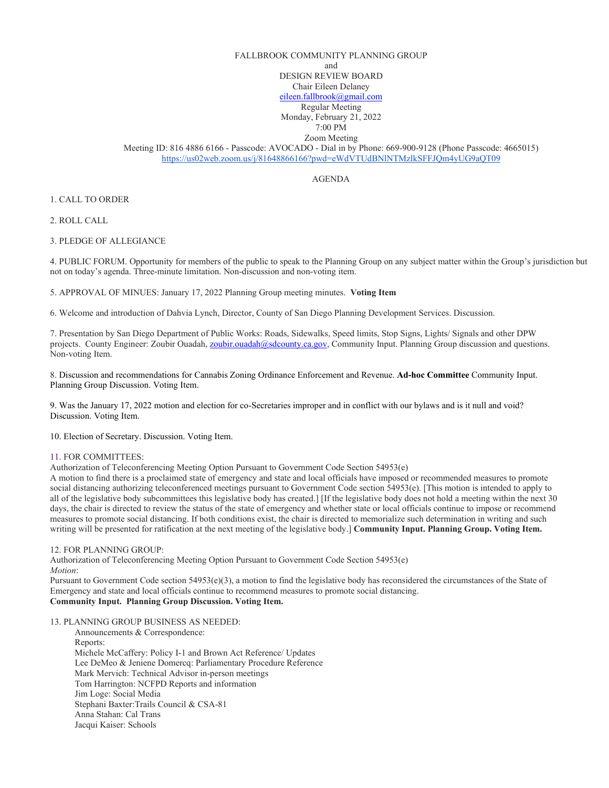## FALLBROOK COMMUNITY PLANNING GROUP

and

DESIGN REVIEW BOARD

Chair Eileen Delaney

[eileen.fallbrook@gmail.com](mailto:eileen.fallbrook@gmail.com) Regular Meeting

Monday, February 21, 2022

7:00 PM Zoom Meeting

Meeting ID: 816 4886 6166 - Passcode: AVOCADO - Dial in by Phone: 669-900-9128 (Phone Passcode: 4665015) <https://us02web.zoom.us/j/81648866166?pwd=eWdVTUdBNlNTMzlkSFFJQm4yUG9aQT09>

AGENDA

1. CALL TO ORDER

2. ROLL CALL

3. PLEDGE OF ALLEGIANCE

4. PUBLIC FORUM. Opportunity for members of the public to speak to the Planning Group on any subject matter within the Group's jurisdiction but not on today's agenda. Three-minute limitation. Non-discussion and non-voting item.

5. APPROVAL OF MINUES: January 17, 2022 Planning Group meeting minutes. **Voting Item**

6. Welcome and introduction of Dahvia Lynch, Director, County of San Diego Planning Development Services. Discussion.

7. Presentation by San Diego Department of Public Works: Roads, Sidewalks, Speed limits, Stop Signs, Lights/ Signals and other DPW projects. County Engineer: Zoubir Ouadah, [zoubir.ouadah@sdcounty.ca.gov,](mailto:zoubir.ouadah@sdcounty.ca.gov) Community Input. Planning Group discussion and questions. Non-voting Item.

8. Discussion and recommendations for Cannabis Zoning Ordinance Enforcement and Revenue. **Ad-hoc Committee** Community Input. Planning Group Discussion. Voting Item.

9. Was the January 17, 2022 motion and election for co-Secretaries improper and in conflict with our bylaws and is it null and void? Discussion. Voting Item.

10. Election of Secretary. Discussion. Voting Item.

## 11. FOR COMMITTEES:

Authorization of Teleconferencing Meeting Option Pursuant to Government Code Section 54953(e)

A motion to find there is a proclaimed state of emergency and state and local officials have imposed or recommended measures to promote social distancing authorizing teleconferenced meetings pursuant to Government Code section 54953(e). [This motion is intended to apply to all of the legislative body subcommittees this legislative body has created.] [If the legislative body does not hold a meeting within the next 30 days, the chair is directed to review the status of the state of emergency and whether state or local officials continue to impose or recommend measures to promote social distancing. If both conditions exist, the chair is directed to memorialize such determination in writing and such writing will be presented for ratification at the next meeting of the legislative body.] **Community Input. Planning Group. Voting Item.**

12. FOR PLANNING GROUP:

Authorization of Teleconferencing Meeting Option Pursuant to Government Code Section 54953(e) *Motion*:

Pursuant to Government Code section 54953(e)(3), a motion to find the legislative body has reconsidered the circumstances of the State of Emergency and state and local officials continue to recommend measures to promote social distancing. **Community Input. Planning Group Discussion. Voting Item.** 

13. PLANNING GROUP BUSINESS AS NEEDED:

 Announcements & Correspondence: Reports: Michele McCaffery: Policy I-1 and Brown Act Reference/ Updates Lee DeMeo & Jeniene Domercq: Parliamentary Procedure Reference Mark Mervich: Technical Advisor in-person meetings Tom Harrington: NCFPD Reports and information Jim Loge: Social Media Stephani Baxter:Trails Council & CSA-81 Anna Stahan: Cal Trans Jacqui Kaiser: Schools